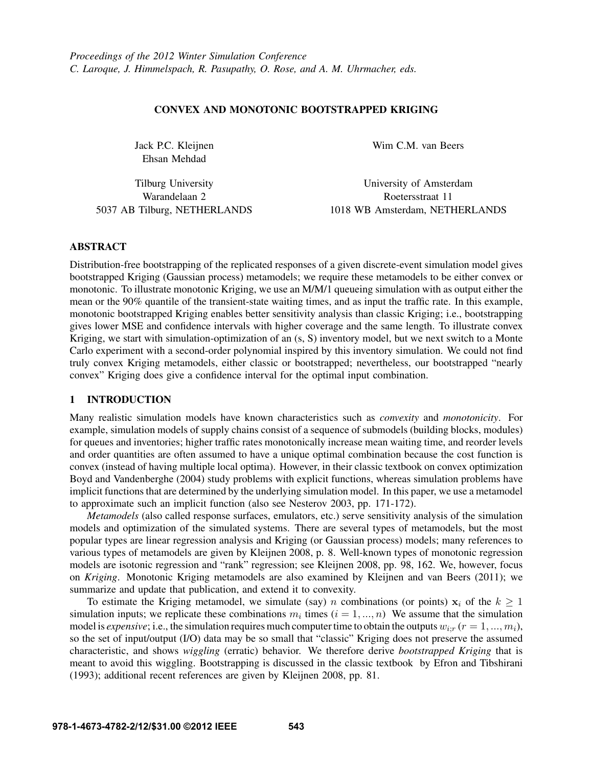## CONVEX AND MONOTONIC BOOTSTRAPPED KRIGING

Jack P.C. Kleijnen Ehsan Mehdad

Tilburg University Warandelaan 2 5037 AB Tilburg, NETHERLANDS Wim C.M. van Beers

University of Amsterdam Roetersstraat 11 1018 WB Amsterdam, NETHERLANDS

## ABSTRACT

Distribution-free bootstrapping of the replicated responses of a given discrete-event simulation model gives bootstrapped Kriging (Gaussian process) metamodels; we require these metamodels to be either convex or monotonic. To illustrate monotonic Kriging, we use an M/M/1 queueing simulation with as output either the mean or the 90% quantile of the transient-state waiting times, and as input the traffic rate. In this example, monotonic bootstrapped Kriging enables better sensitivity analysis than classic Kriging; i.e., bootstrapping gives lower MSE and confidence intervals with higher coverage and the same length. To illustrate convex Kriging, we start with simulation-optimization of an (s, S) inventory model, but we next switch to a Monte Carlo experiment with a second-order polynomial inspired by this inventory simulation. We could not find truly convex Kriging metamodels, either classic or bootstrapped; nevertheless, our bootstrapped "nearly convex" Kriging does give a confidence interval for the optimal input combination.

# 1 INTRODUCTION

Many realistic simulation models have known characteristics such as *convexity* and *monotonicity*. For example, simulation models of supply chains consist of a sequence of submodels (building blocks, modules) for queues and inventories; higher traffic rates monotonically increase mean waiting time, and reorder levels and order quantities are often assumed to have a unique optimal combination because the cost function is convex (instead of having multiple local optima). However, in their classic textbook on convex optimization Boyd and Vandenberghe (2004) study problems with explicit functions, whereas simulation problems have implicit functions that are determined by the underlying simulation model. In this paper, we use a metamodel to approximate such an implicit function (also see Nesterov 2003, pp. 171-172).

*Metamodels* (also called response surfaces, emulators, etc.) serve sensitivity analysis of the simulation models and optimization of the simulated systems. There are several types of metamodels, but the most popular types are linear regression analysis and Kriging (or Gaussian process) models; many references to various types of metamodels are given by Kleijnen 2008, p. 8. Well-known types of monotonic regression models are isotonic regression and "rank" regression; see Kleijnen 2008, pp. 98, 162. We, however, focus on *Kriging*. Monotonic Kriging metamodels are also examined by Kleijnen and van Beers (2011); we summarize and update that publication, and extend it to convexity.

To estimate the Kriging metamodel, we simulate (say) *n* combinations (or points)  $x_i$  of the  $k \ge 1$ simulation inputs; we replicate these combinations  $m_i$  times  $(i = 1, ..., n)$  We assume that the simulation model is *expensive*; i.e., the simulation requires much computer time to obtain the outputs  $w_{irr}$  ( $r = 1, ..., m_i$ ), so the set of input/output (I/O) data may be so small that "classic" Kriging does not preserve the assumed characteristic, and shows *wiggling* (erratic) behavior. We therefore derive *bootstrapped Kriging* that is meant to avoid this wiggling. Bootstrapping is discussed in the classic textbook by Efron and Tibshirani (1993); additional recent references are given by Kleijnen 2008, pp. 81.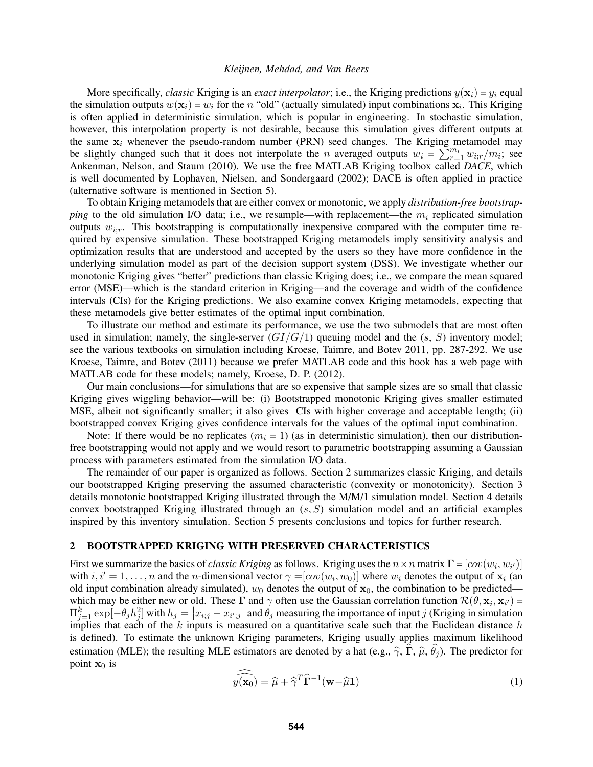More specifically, *classic* Kriging is an *exact interpolator*; i.e., the Kriging predictions  $y(\mathbf{x}_i) = y_i$  equal the simulation outputs  $w(\mathbf{x}_i) = w_i$  for the n "old" (actually simulated) input combinations  $\mathbf{x}_i$ . This Kriging is often applied in deterministic simulation, which is popular in engineering. In stochastic simulation, however, this interpolation property is not desirable, because this simulation gives different outputs at the same  $x_i$  whenever the pseudo-random number (PRN) seed changes. The Kriging metamodel may be slightly changed such that it does not interpolate the *n* averaged outputs  $\overline{w}_i = \sum_{r=1}^{m_i} w_{i,r}/m_i$ ; see Ankenman, Nelson, and Staum (2010). We use the free MATLAB Kriging toolbox called *DACE*, which is well documented by Lophaven, Nielsen, and Sondergaard (2002); DACE is often applied in practice (alternative software is mentioned in Section 5).

To obtain Kriging metamodels that are either convex or monotonic, we apply *distribution-free bootstrapping* to the old simulation I/O data; i.e., we resample—with replacement—the  $m_i$  replicated simulation outputs  $w_{i,r}$ . This bootstrapping is computationally inexpensive compared with the computer time required by expensive simulation. These bootstrapped Kriging metamodels imply sensitivity analysis and optimization results that are understood and accepted by the users so they have more confidence in the underlying simulation model as part of the decision support system (DSS). We investigate whether our monotonic Kriging gives "better" predictions than classic Kriging does; i.e., we compare the mean squared error (MSE)—which is the standard criterion in Kriging—and the coverage and width of the confidence intervals (CIs) for the Kriging predictions. We also examine convex Kriging metamodels, expecting that these metamodels give better estimates of the optimal input combination.

To illustrate our method and estimate its performance, we use the two submodels that are most often used in simulation; namely, the single-server  $(GI/G/1)$  queuing model and the  $(s, S)$  inventory model; see the various textbooks on simulation including Kroese, Taimre, and Botev 2011, pp. 287-292. We use Kroese, Taimre, and Botev (2011) because we prefer MATLAB code and this book has a web page with MATLAB code for these models; namely, Kroese, D. P. (2012).

Our main conclusions—for simulations that are so expensive that sample sizes are so small that classic Kriging gives wiggling behavior—will be: (i) Bootstrapped monotonic Kriging gives smaller estimated MSE, albeit not significantly smaller; it also gives CIs with higher coverage and acceptable length; (ii) bootstrapped convex Kriging gives confidence intervals for the values of the optimal input combination.

Note: If there would be no replicates  $(m_i = 1)$  (as in deterministic simulation), then our distributionfree bootstrapping would not apply and we would resort to parametric bootstrapping assuming a Gaussian process with parameters estimated from the simulation I/O data.

The remainder of our paper is organized as follows. Section 2 summarizes classic Kriging, and details our bootstrapped Kriging preserving the assumed characteristic (convexity or monotonicity). Section 3 details monotonic bootstrapped Kriging illustrated through the M/M/1 simulation model. Section 4 details convex bootstrapped Kriging illustrated through an  $(s, S)$  simulation model and an artificial examples inspired by this inventory simulation. Section 5 presents conclusions and topics for further research.

#### 2 BOOTSTRAPPED KRIGING WITH PRESERVED CHARACTERISTICS

First we summarize the basics of *classic Kriging* as follows. Kriging uses the  $n \times n$  matrix  $\mathbf{\Gamma} = [cov(w_i, w_{i'})]$ with  $i, i' = 1, \ldots, n$  and the n-dimensional vector  $\gamma = [cov(w_i, w_0)]$  where  $w_i$  denotes the output of  $x_i$  (an old input combination already simulated),  $w_0$  denotes the output of  $x_0$ , the combination to be predicted which may be either new or old. These  $\Gamma$  and  $\gamma$  often use the Gaussian correlation function  $\mathcal{R}(\theta, \mathbf{x}_i, \mathbf{x}_{i'})$  $\Pi_{j=1}^k \exp[-\theta_j h_j^2]$  with  $h_j = |x_{i,j} - x_{i',j}|$  and  $\theta_j$  measuring the importance of input j (Kriging in simulation implies that each of the k inputs is measured on a quantitative scale such that the Euclidean distance h is defined). To estimate the unknown Kriging parameters, Kriging usually applies maximum likelihood estimation (MLE); the resulting MLE estimators are denoted by a hat (e.g.,  $\hat{\gamma}$ ,  $\hat{\Gamma}$ ,  $\hat{\mu}$ ,  $\hat{\theta}_i$ ). The predictor for point  $x_0$  is

$$
\widehat{y(\mathbf{x}_0)} = \widehat{\mu} + \widehat{\gamma}^T \widehat{\mathbf{\Gamma}}^{-1} (\mathbf{w} - \widehat{\mu} \mathbf{1})
$$
\n(1)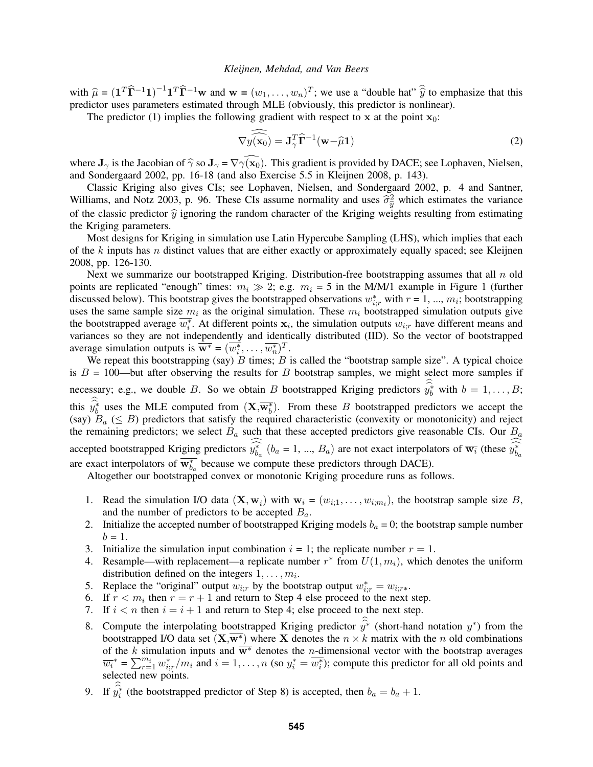with  $\hat{\mu} = (1^T \hat{\Gamma}^{-1} 1)^{-1} 1^T \hat{\Gamma}^{-1} \mathbf{w}$  and  $\mathbf{w} = (w_1, \dots, w_n)^T$ ; we use a "double hat"  $\hat{\hat{y}}$  to emphasize that this predictor uses parameters estimated through MLE (obviously, this predictor is nonlinear).

The predictor (1) implies the following gradient with respect to x at the point  $x_0$ :

$$
\nabla \widehat{y(\mathbf{x}_0)} = \mathbf{J}_{\gamma}^T \widehat{\mathbf{\Gamma}}^{-1}(\mathbf{w} - \widehat{\mu}\mathbf{1})
$$
 (2)

where  $J_{\gamma}$  is the Jacobian of  $\hat{\gamma}$  so  $J_{\gamma} = \nabla \gamma(\mathbf{x}_0)$ . This gradient is provided by DACE; see Lophaven, Nielsen, and Sondergaard 2002, pp. 16-18 (and also Exercise 5.5 in Kleijnen 2008, p. 143).

Classic Kriging also gives CIs; see Lophaven, Nielsen, and Sondergaard 2002, p. 4 and Santner, Williams, and Notz 2003, p. 96. These CIs assume normality and uses  $\hat{\sigma}_{\hat{y}}^2$  which estimates the variance<br>of the classic predictor  $\hat{y}$  ignoring the random character of the Kriging weights resulting from estimati of the classic predictor  $\hat{y}$  ignoring the random character of the Kriging weights resulting from estimating the Kriging parameters.

Most designs for Kriging in simulation use Latin Hypercube Sampling (LHS), which implies that each of the  $k$  inputs has n distinct values that are either exactly or approximately equally spaced; see Kleijnen 2008, pp. 126-130.

Next we summarize our bootstrapped Kriging. Distribution-free bootstrapping assumes that all  $n$  old points are replicated "enough" times:  $m_i \gg 2$ ; e.g.  $m_i = 5$  in the M/M/1 example in Figure 1 (further discussed below). This bootstrap gives the bootstrapped observations  $w_{i,r}^*$  with  $r = 1, ..., m_i$ ; bootstrapping uses the same sample size  $m_i$  as the original simulation. These  $m_i$  bootstrapped simulation outputs give the bootstrapped average  $\overline{w_i^*}$ . At different points  $x_i$ , the simulation outputs  $w_{i,r}$  have different means and variances so they are not independently and identically distributed (IID). So the vector of bootstrapped average simulation outputs is  $\overline{\mathbf{w}^*} = (\overline{w_i^*}, \dots, \overline{w_n^*})^T$ .

We repeat this bootstrapping (say)  $B$  times;  $B$  is called the "bootstrap sample size". A typical choice is  $B = 100$ —but after observing the results for B bootstrap samples, we might select more samples if necessary; e.g., we double B. So we obtain B bootstrapped Kriging predictors  $\widehat{y_b^*}$  with  $b = 1, \ldots, B;$ this  $\hat{y}_b^*$  uses the MLE computed from  $(\mathbf{X}, \overline{\mathbf{w}_b^*})$ . From these B bootstrapped predictors we accept the (say)  $B_a$  ( $\leq B$ ) predictors that satisfy the required characteristic (convexity or monotonicity) and reject the remaining predictors; we select  $B_a$  such that these accepted predictors give reasonable CIs. Our  $B_a$ accepted bootstrapped Kriging predictors  $\widehat{y_{b_a}}^*$  ( $b_a = 1, ..., B_a$ ) are not exact interpolators of  $\overline{w_i}$  (these  $\widehat{y_{b_a}}^*$ are exact interpolators of  $\overline{w_{b_a}^*}$  because we compute these predictors through DACE).

Altogether our bootstrapped convex or monotonic Kriging procedure runs as follows.

- 1. Read the simulation I/O data  $(\mathbf{X}, \mathbf{w}_i)$  with  $\mathbf{w}_i = (w_{i,1}, \dots, w_{i,m_i})$ , the bootstrap sample size B, and the number of predictors to be accepted  $B_a$ .
- 2. Initialize the accepted number of bootstrapped Kriging models  $b_a = 0$ ; the bootstrap sample number  $b = 1.$
- 3. Initialize the simulation input combination  $i = 1$ ; the replicate number  $r = 1$ .
- 4. Resample—with replacement—a replicate number  $r^*$  from  $U(1, m_i)$ , which denotes the uniform distribution defined on the integers  $1, \ldots, m_i$ .
- 5. Replace the "original" output  $w_{i;r}$  by the bootstrap output  $w_{i;r}^* = w_{i;r*}$ .
- 6. If  $r < m_i$  then  $r = r + 1$  and return to Step 4 else proceed to the next step.
- 7. If  $i < n$  then  $i = i + 1$  and return to Step 4; else proceed to the next step.
- 8. Compute the interpolating bootstrapped Kriging predictor  $\hat{y}^*$  (short-hand notation  $y^*$ ) from the bootstrapped  $V$  (short-hand notation  $y^*$ ) from the bootstrapped  $V$  (short-hand notation yi) from the bootstrap bootstrapped I/O data set  $(X,\overline{w^*})$  where X denotes the  $n \times k$  matrix with the n old combinations of the k simulation inputs and  $\overline{w^*}$  denotes the *n*-dimensional vector with the bootstrap averages  $\overline{w_i}^* = \sum_{r=1}^{m_i} w_{i,r}^* / m_i$  and  $i = 1, \ldots, n$  (so  $y_i^* = \overline{w_i^*}$ ); compute this predictor for all old points and selected new points.
- 9. If  $\hat{y}_i^*$  (the bootstrapped predictor of Step 8) is accepted, then  $b_a = b_a + 1$ .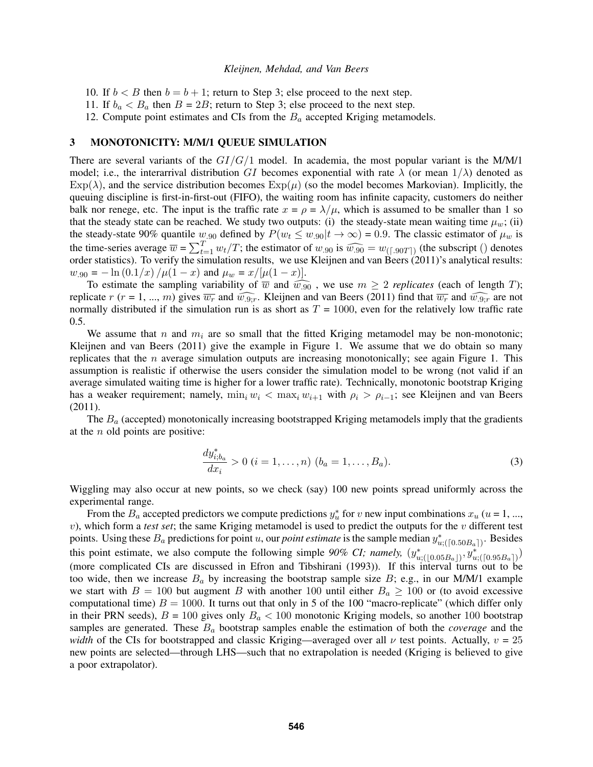- 10. If  $b < B$  then  $b = b + 1$ ; return to Step 3; else proceed to the next step.
- 11. If  $b_a < B_a$  then  $B = 2B$ ; return to Step 3; else proceed to the next step.
- 12. Compute point estimates and CIs from the  $B_a$  accepted Kriging metamodels.

#### 3 MONOTONICITY: M/M/1 QUEUE SIMULATION

There are several variants of the  $GI/G/1$  model. In academia, the most popular variant is the M/M/1 model; i.e., the interarrival distribution GI becomes exponential with rate  $\lambda$  (or mean  $1/\lambda$ ) denoted as  $\text{Exp}(\lambda)$ , and the service distribution becomes  $\text{Exp}(\mu)$  (so the model becomes Markovian). Implicitly, the queuing discipline is first-in-first-out (FIFO), the waiting room has infinite capacity, customers do neither balk nor renege, etc. The input is the traffic rate  $x = \rho = \lambda/\mu$ , which is assumed to be smaller than 1 so that the steady state can be reached. We study two outputs: (i) the steady-state mean waiting time  $\mu_w$ ; (ii) the steady-state 90% quantile  $w_{.90}$  defined by  $P(w_t \leq w_{.90}|t \to \infty) = 0.9$ . The classic estimator of  $\mu_w$  is the time-series average  $\overline{w} = \sum_{t=1}^{T} w_t/T$ ; the estimator of  $w_{.90}$  is  $\widehat{w_{.90}} = w_{([.90T])}$  (the subscript () denotes order statistics). To verify the simulation results, we use Kleijnen and van Beers (2011)'s ana order statistics). To verify the simulation results, we use Kleijnen and van Beers (2011)'s analytical results:  $w_{.90} = -\ln(0.1/x) / \mu(1-x)$  and  $\mu_w = x/[\mu(1-x)].$ 

To estimate the sampling variability of  $\overline{w}$  and  $\widehat{w_{.90}}$ , we use  $m \geq 2$  *replicates* (each of length T); replicate r (r = 1, ..., m) gives  $\overline{w_r}$  and  $\widehat{w_{.9,r}}$ . Kleijnen and van Beers (2011) find that  $\overline{w_r}$  and  $\widehat{w_{.9,r}}$  are not normally distributed if the simulation run is as short as  $T = 1000$ , even for the relatively low traffic rate 0.5.

We assume that n and  $m_i$  are so small that the fitted Kriging metamodel may be non-monotonic; Kleijnen and van Beers (2011) give the example in Figure 1. We assume that we do obtain so many replicates that the  $n$  average simulation outputs are increasing monotonically; see again Figure 1. This assumption is realistic if otherwise the users consider the simulation model to be wrong (not valid if an average simulated waiting time is higher for a lower traffic rate). Technically, monotonic bootstrap Kriging has a weaker requirement; namely,  $\min_i w_i < \max_i w_{i+1}$  with  $\rho_i > \rho_{i-1}$ ; see Kleijnen and van Beers (2011).

The  $B_a$  (accepted) monotonically increasing bootstrapped Kriging metamodels imply that the gradients at the  $n$  old points are positive:

$$
\frac{dy_{i,b_a}^*}{dx_i} > 0 \ (i = 1, \dots, n) \ (b_a = 1, \dots, B_a). \tag{3}
$$

Wiggling may also occur at new points, so we check (say) 100 new points spread uniformly across the experimental range.

From the  $B_a$  accepted predictors we compute predictions  $y_u^*$  for v new input combinations  $x_u$  (u = 1, ..., v), which form a *test set*; the same Kriging metamodel is used to predict the outputs for the v different test points. Using these  $B_a$  predictions for point u, our *point estimate* is the sample median  $y^*_{u;([0.50B_a])}$ . Besides this point estimate, we also compute the following simple 90% CI; namely,  $(y^*_{u;([0.05B_a])}, y^*_{u;([0.95B_a])})$ (more complicated CIs are discussed in Efron and Tibshirani (1993)). If this interval turns out to be too wide, then we increase  $B_a$  by increasing the bootstrap sample size B; e.g., in our M/M/1 example we start with  $B = 100$  but augment B with another 100 until either  $B_a \ge 100$  or (to avoid excessive computational time)  $B = 1000$ . It turns out that only in 5 of the 100 "macro-replicate" (which differ only in their PRN seeds),  $B = 100$  gives only  $B<sub>a</sub> < 100$  monotonic Kriging models, so another 100 bootstrap samples are generated. These B<sup>a</sup> bootstrap samples enable the estimation of both the *coverage* and the *width* of the CIs for bootstrapped and classic Kriging—averaged over all  $\nu$  test points. Actually,  $v = 25$ new points are selected—through LHS—such that no extrapolation is needed (Kriging is believed to give a poor extrapolator).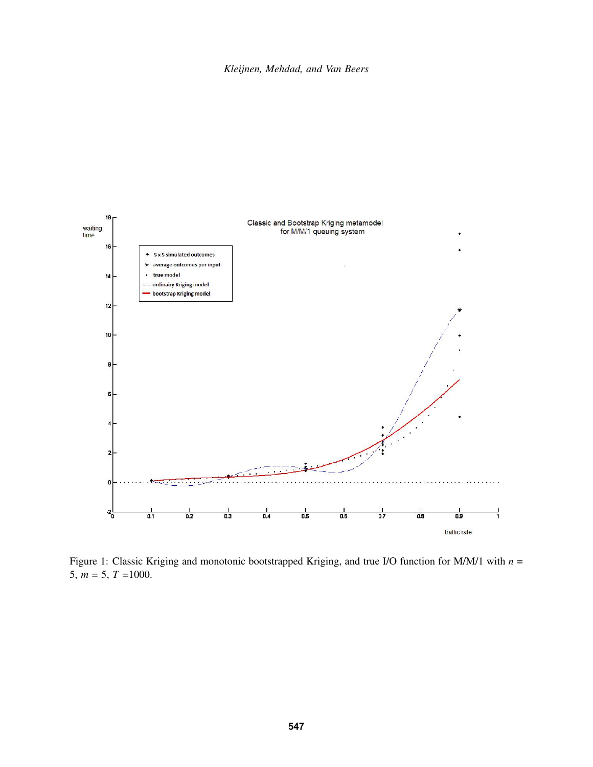

Figure 1: Classic Kriging and monotonic bootstrapped Kriging, and true I/O function for M/M/1 with *n* = 5,  $m = 5, T = 1000$ .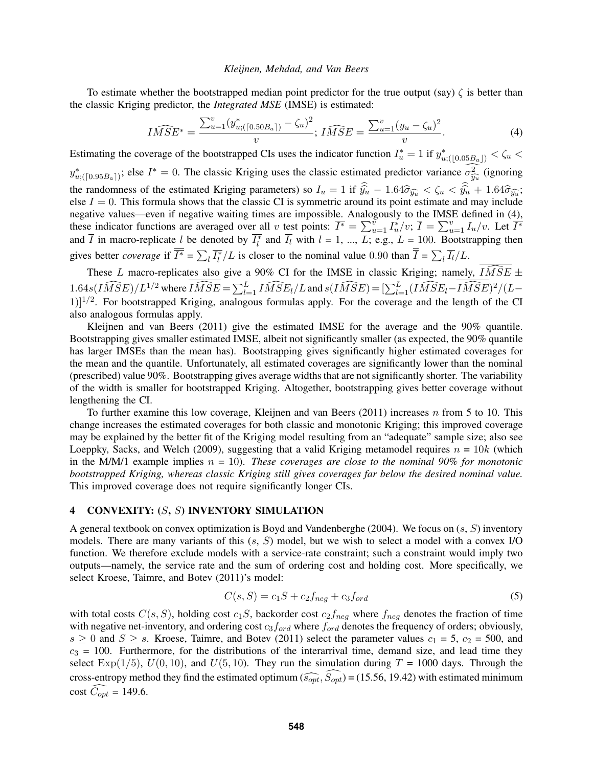To estimate whether the bootstrapped median point predictor for the true output (say)  $\zeta$  is better than the classic Kriging predictor, the *Integrated MSE* (IMSE) is estimated:

$$
I\widehat{MSE}^* = \frac{\sum_{u=1}^v (y_{u;([0.50B_a])}^* - \zeta_u)^2}{v}; \widehat{MSE} = \frac{\sum_{u=1}^v (y_u - \zeta_u)^2}{v}.
$$
 (4)

Estimating the coverage of the bootstrapped CIs uses the indicator function  $I_u^* = 1$  if  $y_{u;([0.05B_a])}^* < \zeta_u$  $y^*_{u;([0.95B_a])}$ ; else  $I^* = 0$ . The classic Kriging uses the classic estimated predictor variance  $\sigma_{\widehat{y_u}}^2$  (ignoring the randomness of the estimated Kriging parameters) so  $I_u = 1$  if  $\hat{y}_u - 1.64\hat{\sigma}_{\hat{y}_u} < \hat{\zeta}_u < \hat{y}_u + 1.64\hat{\sigma}_{\hat{y}_u};$ <br>else  $I = 0$ . This formula shows that the classic CI is symmetric around its point estimate and else  $I = 0$ . This formula shows that the classic CI is symmetric around its point estimate and may include negative values—even if negative waiting times are impossible. Analogously to the IMSE defined in (4), these indicator functions are averaged over all v test points:  $\overline{I^*} = \sum_{u=1}^v I_u^*/v$ ;  $\overline{I} = \sum_{u=1}^v I_u/v$ . Let  $\overline{I^*}$ and  $\overline{I}$  in macro-replicate l be denoted by  $\overline{I_l^*}$  and  $\overline{I_l}$  with  $l = 1, ..., L$ ; e.g.,  $L = 100$ . Bootstrapping then gives better *coverage* if  $\overline{I^*} = \sum_l \overline{I_l^*}/L$  is closer to the nominal value 0.90 than  $\overline{I} = \sum_l \overline{I_l}/L$ .

These L macro-replicates also give a 90% CI for the IMSE in classic Kriging; namely,  $\widehat{IMSE} \pm$ 1.64s( $I\widehat{MSE}$ )/ $L^{1/2}$  where  $I\widehat{MSE} = \sum_{l=1}^{L} I\widehat{MSE}_{l}/L$  and  $s(I\widehat{MSE}) = [\sum_{l=1}^{L} (I\widehat{MSE}_{l} - I\widehat{MSE})^{2}/(L-\sum_{l=1}^{L} I\widehat{MSE}_{l})]$  $1$ ]<sup>1/2</sup>. For bootstrapped Kriging, analogous formulas apply. For the coverage and the length of the CI also analogous formulas apply.

Kleijnen and van Beers (2011) give the estimated IMSE for the average and the 90% quantile. Bootstrapping gives smaller estimated IMSE, albeit not significantly smaller (as expected, the 90% quantile has larger IMSEs than the mean has). Bootstrapping gives significantly higher estimated coverages for the mean and the quantile. Unfortunately, all estimated coverages are significantly lower than the nominal (prescribed) value 90%. Bootstrapping gives average widths that are not significantly shorter. The variability of the width is smaller for bootstrapped Kriging. Altogether, bootstrapping gives better coverage without lengthening the CI.

To further examine this low coverage, Kleijnen and van Beers (2011) increases n from 5 to 10. This change increases the estimated coverages for both classic and monotonic Kriging; this improved coverage may be explained by the better fit of the Kriging model resulting from an "adequate" sample size; also see Loeppky, Sacks, and Welch (2009), suggesting that a valid Kriging metamodel requires  $n = 10k$  (which in the M/M/1 example implies  $n = 10$ ). *These coverages are close to the nominal 90% for monotonic bootstrapped Kriging, whereas classic Kriging still gives coverages far below the desired nominal value.* This improved coverage does not require significantly longer CIs.

# 4 CONVEXITY: (S, S) INVENTORY SIMULATION

A general textbook on convex optimization is Boyd and Vandenberghe (2004). We focus on  $(s, S)$  inventory models. There are many variants of this  $(s, S)$  model, but we wish to select a model with a convex I/O function. We therefore exclude models with a service-rate constraint; such a constraint would imply two outputs—namely, the service rate and the sum of ordering cost and holding cost. More specifically, we select Kroese, Taimre, and Botev (2011)'s model:

$$
C(s, S) = c_1 S + c_2 f_{neg} + c_3 f_{ord}
$$
\n
$$
(5)
$$

with total costs  $C(s, S)$ , holding cost  $c_1S$ , backorder cost  $c_2f_{neq}$  where  $f_{neq}$  denotes the fraction of time with negative net-inventory, and ordering cost  $c_3f_{ord}$  where  $f_{ord}$  denotes the frequency of orders; obviously,  $s \ge 0$  and  $S \ge s$ . Kroese, Taimre, and Botev (2011) select the parameter values  $c_1 = 5$ ,  $c_2 = 500$ , and  $c_3$  = 100. Furthermore, for the distributions of the interarrival time, demand size, and lead time they select Exp(1/5),  $U(0, 10)$ , and  $U(5, 10)$ . They run the simulation during  $T = 1000$  days. Through the cross-entropy method they find the estimated optimum ( $\widehat{s_{opt}}, \widehat{s_{opt}}$ ) = (15.56, 19.42) with estimated minimum cost  $\widehat{C_{opt}} = 149.6$ .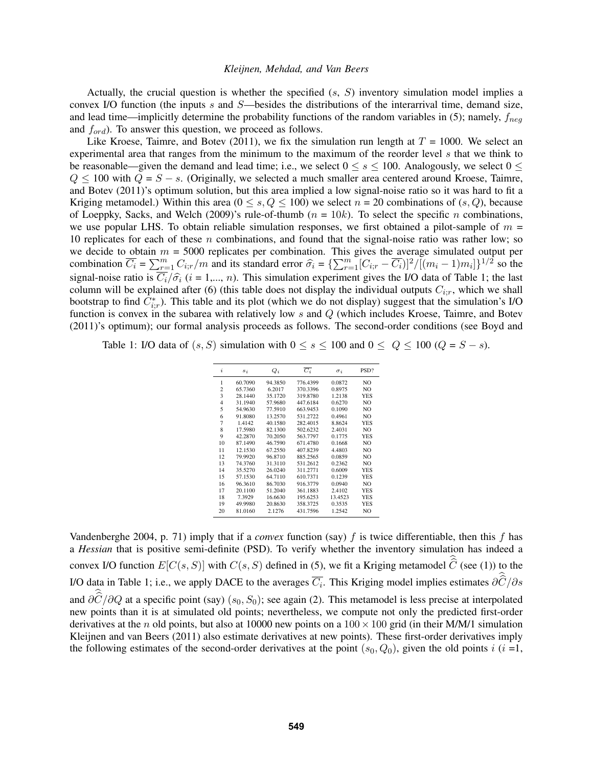Actually, the crucial question is whether the specified  $(s, S)$  inventory simulation model implies a convex I/O function (the inputs s and  $S$ —besides the distributions of the interarrival time, demand size, and lead time—implicitly determine the probability functions of the random variables in (5); namely,  $f_{neq}$ and  $f_{ord}$ ). To answer this question, we proceed as follows.

Like Kroese, Taimre, and Botev (2011), we fix the simulation run length at  $T = 1000$ . We select an experimental area that ranges from the minimum to the maximum of the reorder level s that we think to be reasonable—given the demand and lead time; i.e., we select  $0 \le s \le 100$ . Analogously, we select  $0 \le$  $Q \le 100$  with  $Q = S - s$ . (Originally, we selected a much smaller area centered around Kroese, Taimre, and Botev (2011)'s optimum solution, but this area implied a low signal-noise ratio so it was hard to fit a Kriging metamodel.) Within this area ( $0 \le s, Q \le 100$ ) we select  $n = 20$  combinations of  $(s, Q)$ , because of Loeppky, Sacks, and Welch (2009)'s rule-of-thumb ( $n = 10k$ ). To select the specific n combinations, we use popular LHS. To obtain reliable simulation responses, we first obtained a pilot-sample of  $m =$ 10 replicates for each of these  $n$  combinations, and found that the signal-noise ratio was rather low; so we decide to obtain  $m = 5000$  replicates per combination. This gives the average simulated output per combination  $\overline{C_i} = \sum_{r=1}^m C_{i;r}/m$  and its standard error  $\hat{\sigma_i} = {\sum_{r=1}^m [C_{i;r} - \overline{C_i})]^2}/{[(m_i - 1)m_i]}\}^{1/2}$  so the signal-noise ratio is  $C_i/\hat{\sigma}_i$  ( $i = 1,..., n$ ). This simulation experiment gives the I/O data of Table 1; the last column will be explained after (6) (this table does not display the individual outputs  $C_i$  which we shall column will be explained after (6) (this table does not display the individual outputs  $C_{i:r}$ , which we shall bootstrap to find  $\overline{C_{i;r}}$ ). This table and its plot (which we do not display) suggest that the simulation's I/O function is convex in the subarea with relatively low s and Q (which includes Kroese, Taimre, and Botev (2011)'s optimum); our formal analysis proceeds as follows. The second-order conditions (see Boyd and

Table 1: I/O data of  $(s, S)$  simulation with  $0 \le s \le 100$  and  $0 \le Q \le 100$   $(Q = S - s)$ .

| $\boldsymbol{i}$ | $s_i$   | $Q_i$   | $\overline{C_i}$ | $\sigma_i$ | PSD?           |
|------------------|---------|---------|------------------|------------|----------------|
| 1                | 60.7090 | 94.3850 | 776.4399         | 0.0872     | N <sub>O</sub> |
| $\overline{c}$   | 65.7360 | 6.2017  | 370.3396         | 0.8975     | NO             |
| 3                | 28.1440 | 35.1720 | 319.8780         | 1.2138     | <b>YES</b>     |
| 4                | 31.1940 | 57.9680 | 447.6184         | 0.6270     | N <sub>O</sub> |
| 5                | 54.9630 | 77.5910 | 663.9453         | 0.1090     | N <sub>O</sub> |
| 6                | 91.8080 | 13.2570 | 531.2722         | 0.4961     | NO             |
| $\overline{7}$   | 1.4142  | 40.1580 | 282.4015         | 8.8624     | <b>YES</b>     |
| 8                | 17.5980 | 82.1300 | 502.6232         | 2.4031     | N <sub>O</sub> |
| 9                | 42.2870 | 70.2050 | 563.7797         | 0.1775     | <b>YES</b>     |
| 10               | 87.1490 | 46.7590 | 671.4780         | 0.1668     | NO.            |
| 11               | 12.1530 | 67.2550 | 407.8239         | 4.4803     | N <sub>O</sub> |
| 12               | 79.9920 | 96.8710 | 885.2565         | 0.0859     | N <sub>O</sub> |
| 13               | 74.3760 | 31.3110 | 531.2612         | 0.2362     | NO.            |
| 14               | 35.5270 | 26.0240 | 311.2771         | 0.6009     | <b>YES</b>     |
| 15               | 57.1530 | 64.7110 | 610.7371         | 0.1239     | <b>YES</b>     |
| 16               | 96.3610 | 86.7030 | 916.3779         | 0.0940     | NO.            |
| 17               | 20.1100 | 51.2040 | 361.1883         | 2.4102     | YES            |
| 18               | 7.3929  | 16.6630 | 195.6253         | 13.4523    | <b>YES</b>     |
| 19               | 49.9980 | 20.8630 | 358.3725         | 0.3535     | <b>YES</b>     |
| 20               | 81.0160 | 2.1276  | 431.7596         | 1.2542     | NO             |

Vandenberghe 2004, p. 71) imply that if a *convex* function (say)  $f$  is twice differentiable, then this  $f$  has a *Hessian* that is positive semi-definite (PSD). To verify whether the inventory simulation has indeed a convex I/O function  $E[C(s, S)]$  with  $C(s, S)$  defined in (5), we fit a Kriging metamodel C (see (1)) to the I/O data in Table 1; i.e., we apply DACE to the averages  $C_i$ . This Kriging model implies estimates  $\partial C/\partial s$ and  $\partial C/\partial Q$  at a specific point (say) (s<sub>0</sub>, S<sub>0</sub>); see again (2). This metamodel is less precise at interpolated new points than it is at simulated old points; nevertheless, we compute not only the predicted first-order derivatives at the n old points, but also at 10000 new points on a  $100 \times 100$  grid (in their M/M/1 simulation Kleijnen and van Beers (2011) also estimate derivatives at new points). These first-order derivatives imply the following estimates of the second-order derivatives at the point  $(s_0, Q_0)$ , given the old points i  $(i = 1,$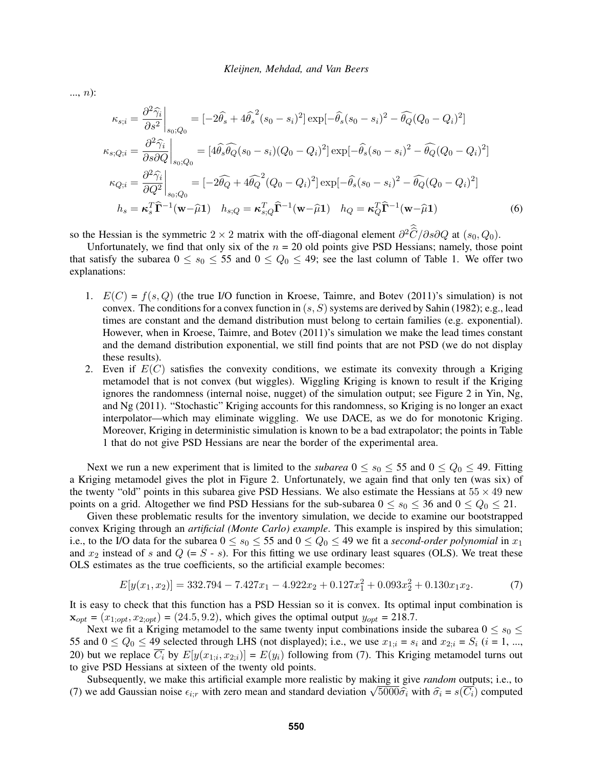..., n):

$$
\kappa_{s;i} = \frac{\partial^2 \hat{\gamma}_i}{\partial s^2}\Big|_{s_0;Q_0} = [-2\hat{\theta}_s + 4\hat{\theta}_s^2(s_0 - s_i)^2] \exp[-\hat{\theta}_s(s_0 - s_i)^2 - \hat{\theta}_Q(Q_0 - Q_i)^2]
$$
  
\n
$$
\kappa_{s;Q;i} = \frac{\partial^2 \hat{\gamma}_i}{\partial s \partial Q}\Big|_{s_0;Q_0} = [4\hat{\theta}_s \hat{\theta}_Q(s_0 - s_i)(Q_0 - Q_i)^2] \exp[-\hat{\theta}_s(s_0 - s_i)^2 - \hat{\theta}_Q(Q_0 - Q_i)^2]
$$
  
\n
$$
\kappa_{Q;i} = \frac{\partial^2 \hat{\gamma}_i}{\partial Q^2}\Big|_{s_0;Q_0} = [-2\hat{\theta}_Q + 4\hat{\theta}_Q^2(Q_0 - Q_i)^2] \exp[-\hat{\theta}_s(s_0 - s_i)^2 - \hat{\theta}_Q(Q_0 - Q_i)^2]
$$
  
\n
$$
h_s = \kappa_s^T \hat{\mathbf{\Gamma}}^{-1}(\mathbf{w} - \hat{\mu}\mathbf{1}) \quad h_{s;Q} = \kappa_{s;Q}^T \hat{\mathbf{\Gamma}}^{-1}(\mathbf{w} - \hat{\mu}\mathbf{1}) \quad h_Q = \kappa_Q^T \hat{\mathbf{\Gamma}}^{-1}(\mathbf{w} - \hat{\mu}\mathbf{1}) \tag{6}
$$

so the Hessian is the symmetric 2 × 2 matrix with the off-diagonal element  $\frac{\partial^2 \widehat{C}}{\partial s \partial Q}$  at  $(s_0, Q_0)$ .

Unfortunately, we find that only six of the  $n = 20$  old points give PSD Hessians; namely, those point that satisfy the subarea  $0 \le s_0 \le 55$  and  $0 \le Q_0 \le 49$ ; see the last column of Table 1. We offer two explanations:

- 1.  $E(C) = f(s, Q)$  (the true I/O function in Kroese, Taimre, and Botev (2011)'s simulation) is not convex. The conditions for a convex function in  $(s, S)$  systems are derived by Sahin (1982); e.g., lead times are constant and the demand distribution must belong to certain families (e.g. exponential). However, when in Kroese, Taimre, and Botev (2011)'s simulation we make the lead times constant and the demand distribution exponential, we still find points that are not PSD (we do not display these results).
- 2. Even if  $E(C)$  satisfies the convexity conditions, we estimate its convexity through a Kriging metamodel that is not convex (but wiggles). Wiggling Kriging is known to result if the Kriging ignores the randomness (internal noise, nugget) of the simulation output; see Figure 2 in Yin, Ng, and Ng (2011). "Stochastic" Kriging accounts for this randomness, so Kriging is no longer an exact interpolator—which may eliminate wiggling. We use DACE, as we do for monotonic Kriging. Moreover, Kriging in deterministic simulation is known to be a bad extrapolator; the points in Table 1 that do not give PSD Hessians are near the border of the experimental area.

Next we run a new experiment that is limited to the *subarea*  $0 \le s_0 \le 55$  and  $0 \le Q_0 \le 49$ . Fitting a Kriging metamodel gives the plot in Figure 2. Unfortunately, we again find that only ten (was six) of the twenty "old" points in this subarea give PSD Hessians. We also estimate the Hessians at  $55 \times 49$  new points on a grid. Altogether we find PSD Hessians for the sub-subarea  $0 \le s_0 \le 36$  and  $0 \le Q_0 \le 21$ .

Given these problematic results for the inventory simulation, we decide to examine our bootstrapped convex Kriging through an *artificial (Monte Carlo) example*. This example is inspired by this simulation; i.e., to the I/O data for the subarea  $0 \le s_0 \le 55$  and  $0 \le Q_0 \le 49$  we fit a *second-order polynomial* in  $x_1$ and  $x_2$  instead of s and  $Q (= S - s)$ . For this fitting we use ordinary least squares (OLS). We treat these OLS estimates as the true coefficients, so the artificial example becomes:

$$
E[y(x_1, x_2)] = 332.794 - 7.427x_1 - 4.922x_2 + 0.127x_1^2 + 0.093x_2^2 + 0.130x_1x_2.
$$
 (7)

It is easy to check that this function has a PSD Hessian so it is convex. Its optimal input combination is  $\mathbf{x}_{opt} = (x_{1;opt}, x_{2;opt}) = (24.5, 9.2)$ , which gives the optimal output  $y_{opt} = 218.7$ .

Next we fit a Kriging metamodel to the same twenty input combinations inside the subarea  $0 \le s_0 \le$ 55 and  $0 \le Q_0 \le 49$  selected through LHS (not displayed); i.e., we use  $x_{1:i} = s_i$  and  $x_{2:i} = S_i$  (i = 1, ..., 20) but we replace  $C_i$  by  $E[y(x_{1,i}, x_{2,i})] = E(y_i)$  following from (7). This Kriging metamodel turns out to give PSD Hessians at sixteen of the twenty old points.

Subsequently, we make this artificial example more realistic by making it give *random* outputs; i.e., to Subsequently, we make this artificial example more realistic by making it give *random* outputs; i.e., to (7) we add Gaussian noise  $\epsilon_{i;r}$  with zero mean and standard deviation  $\sqrt{5000\hat{\sigma}_i}$  with  $\hat{\sigma}_i = s(\overline{C_i})$  co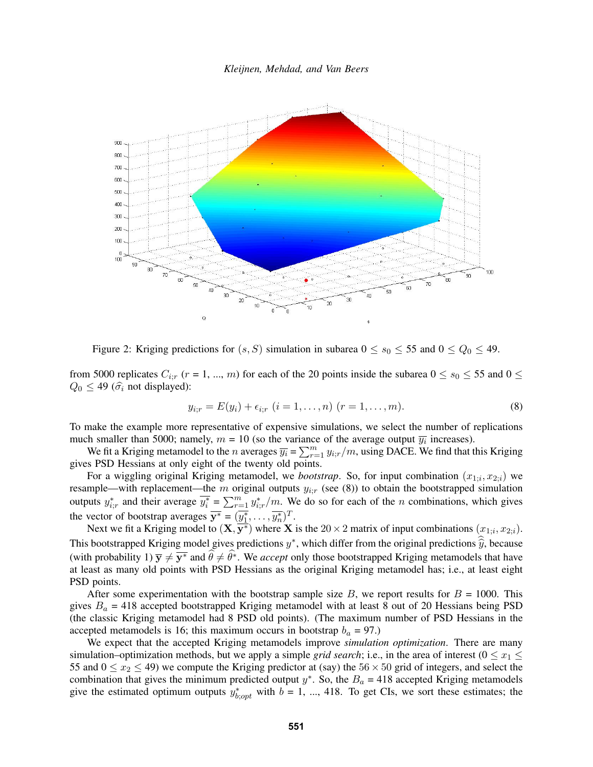*Kleijnen, Mehdad, and Van Beers*



Figure 2: Kriging predictions for  $(s, S)$  simulation in subarea  $0 \le s_0 \le 55$  and  $0 \le Q_0 \le 49$ .

from 5000 replicates  $C_{i;r}$  ( $r = 1, ..., m$ ) for each of the 20 points inside the subarea  $0 \le s_0 \le 55$  and  $0 \le$  $Q_0 \leq 49$  ( $\hat{\sigma}_i$  not displayed):

$$
y_{i,r} = E(y_i) + \epsilon_{i,r} \ (i = 1, \dots, n) \ (r = 1, \dots, m). \tag{8}
$$

To make the example more representative of expensive simulations, we select the number of replications much smaller than 5000; namely,  $m = 10$  (so the variance of the average output  $\overline{y_i}$  increases).

We fit a Kriging metamodel to the n averages  $\overline{y_i} = \sum_{r=1}^m y_{i,r}/m$ , using DACE. We find that this Kriging gives PSD Hessians at only eight of the twenty old points.

For a wiggling original Kriging metamodel, we *bootstrap*. So, for input combination  $(x_{1,i}, x_{2,i})$  we resample—with replacement—the m original outputs  $y_{i,r}$  (see (8)) to obtain the bootstrapped simulation outputs  $y_{i;r}^*$  and their average  $\overline{y_i^*} = \sum_{r=1}^m y_{i;r}^*/m$ . We do so for each of the n combinations, which gives the vector of bootstrap averages  $\overline{y^*} = (\overline{y_1^*}, \dots, \overline{y_n^*})^T$ .

Next we fit a Kriging model to  $(\mathbf{X}, \overline{\mathbf{y}^*})$  where X is the  $20 \times 2$  matrix of input combinations  $(x_{1;i}, x_{2;i})$ . This bootstrapped Kriging model gives predictions  $y^*$ , which differ from the original predictions  $\hat{y}$ , because (with probability 1)  $\bar{y} \neq \bar{y}^*$  and  $\hat{\theta} \neq \hat{\theta}^*$ . We *accept* only those bootstrapped Kriging metamodels that have at least as many old points with PSD Hessians as the original Kriging metamodel has; i.e., at least eight PSD points.

After some experimentation with the bootstrap sample size  $B$ , we report results for  $B = 1000$ . This gives  $B_a = 418$  accepted bootstrapped Kriging metamodel with at least 8 out of 20 Hessians being PSD (the classic Kriging metamodel had 8 PSD old points). (The maximum number of PSD Hessians in the accepted metamodels is 16; this maximum occurs in bootstrap  $b_a = 97$ .)

We expect that the accepted Kriging metamodels improve *simulation optimization*. There are many simulation–optimization methods, but we apply a simple *grid search*; i.e., in the area of interest ( $0 \le x_1 \le$ 55 and  $0 \le x_2 \le 49$ ) we compute the Kriging predictor at (say) the 56  $\times$  50 grid of integers, and select the combination that gives the minimum predicted output  $y^*$ . So, the  $B_a = 418$  accepted Kriging metamodels give the estimated optimum outputs  $y_{b,opt}^*$  with  $b = 1, ..., 418$ . To get CIs, we sort these estimates; the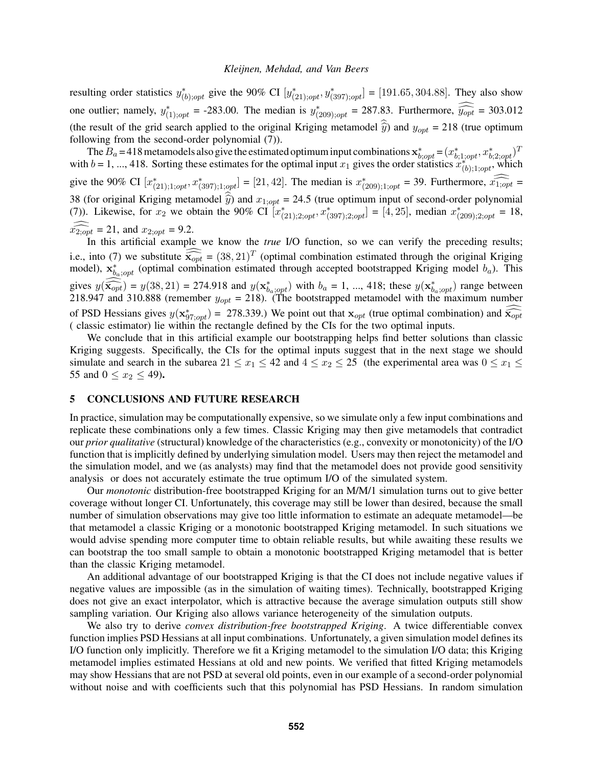resulting order statistics  $y^*_{(b); opt}$  give the 90% CI  $[y^*_{(21); opt}, y^*_{(397); opt}] = [191.65, 304.88]$ . They also show one outlier; namely,  $y_{(1);opt}^* = -283.00$ . The median is  $y_{(209);opt}^* = 287.83$ . Furthermore,  $\widehat{y_{opt}} = 303.012$ (the result of the grid search applied to the original Kriging metamodel  $\hat{y}$ ) and  $y_{opt} = 218$  (true optimum following from the second-order polynomial (7)).

The  $B_a = 418$  metamodels also give the estimated optimum input combinations  $\mathbf{x}_{b; opt}^* = (x_{b;1; opt}^*, x_{b;2; opt}^*)^T$ with  $b = 1, ..., 418$ . Sorting these estimates for the optimal input  $x_1$  gives the order statistics  $x_{(b);1; opt}^{(b);1; opt}$ , which give the 90% CI  $[x_{(21);1; opt}^*, x_{(397);1; opt}^*] = [21, 42]$ . The median is  $x_{(209);1; opt}^* = 39$ . Furthermore,  $\widehat{x_{1;opt}} =$ 38 (for original Kriging metamodel  $\hat{y}$ ) and  $x_{1;opt} = 24.5$  (true optimum input of second-order polynomial (7)). Likewise, for  $x_2$  we obtain the 90% CI  $[x^*_{(21);2; opt}, x^*_{(397);2; opt}] = [4, 25]$ , median  $x^*_{(209);2; opt} = 18$ ,  $x_{2,opt} = 21$ , and  $x_{2,opt} = 9.2$ .<br>In this artificial example we know the *true* I/O function, so we can verify the preceding results;

i.e., into (7) we substitute  $\widehat{\mathbf{x}_{opt}} = (38, 21)^T$  (optimal combination estimated through the original Kriging model)  $\mathbf{x}^*$  (optimal combination estimated through accepted bootstrapped Kriging model  $h$ ). This model),  $\mathbf{x}_{b_a; opt}^*$  (optimal combination estimated through accepted bootstrapped Kriging model  $b_a$ ). This gives  $y(\widehat{\mathbf{x}_{opt}}) = y(38, 21) = 274.918$  and  $y(\mathbf{x}_{b_a; opt}^*)$  with  $b_a = 1, ..., 418$ ; these  $y(\mathbf{x}_{b_a; opt}^*)$  range between<br>218.947 and 310.888 (remember  $y = 218$ ) (The bootstranged metamodel with the maximum number 218.947 and 310.888 (remember  $y_{opt} = 218$ ). (The bootstrapped metamodel with the maximum number of PSD Hessians gives  $y(\mathbf{x}_{97;opt}^*)$  = 278.339.) We point out that  $\mathbf{x}_{opt}$  (true optimal combination) and  $\widehat{\mathbf{x}_{opt}}$ ( classic estimator) lie within the rectangle defined by the CIs for the two optimal inputs.

We conclude that in this artificial example our bootstrapping helps find better solutions than classic Kriging suggests. Specifically, the CIs for the optimal inputs suggest that in the next stage we should simulate and search in the subarea  $21 \le x_1 \le 42$  and  $4 \le x_2 \le 25$  (the experimental area was  $0 \le x_1 \le$ 55 and  $0 \le x_2 \le 49$ ).

# 5 CONCLUSIONS AND FUTURE RESEARCH

In practice, simulation may be computationally expensive, so we simulate only a few input combinations and replicate these combinations only a few times. Classic Kriging may then give metamodels that contradict our *prior qualitative* (structural) knowledge of the characteristics (e.g., convexity or monotonicity) of the I/O function that is implicitly defined by underlying simulation model. Users may then reject the metamodel and the simulation model, and we (as analysts) may find that the metamodel does not provide good sensitivity analysis or does not accurately estimate the true optimum I/O of the simulated system.

Our *monotonic* distribution-free bootstrapped Kriging for an M/M/1 simulation turns out to give better coverage without longer CI. Unfortunately, this coverage may still be lower than desired, because the small number of simulation observations may give too little information to estimate an adequate metamodel—be that metamodel a classic Kriging or a monotonic bootstrapped Kriging metamodel. In such situations we would advise spending more computer time to obtain reliable results, but while awaiting these results we can bootstrap the too small sample to obtain a monotonic bootstrapped Kriging metamodel that is better than the classic Kriging metamodel.

An additional advantage of our bootstrapped Kriging is that the CI does not include negative values if negative values are impossible (as in the simulation of waiting times). Technically, bootstrapped Kriging does not give an exact interpolator, which is attractive because the average simulation outputs still show sampling variation. Our Kriging also allows variance heterogeneity of the simulation outputs.

We also try to derive *convex distribution-free bootstrapped Kriging*. A twice differentiable convex function implies PSD Hessians at all input combinations. Unfortunately, a given simulation model defines its I/O function only implicitly. Therefore we fit a Kriging metamodel to the simulation I/O data; this Kriging metamodel implies estimated Hessians at old and new points. We verified that fitted Kriging metamodels may show Hessians that are not PSD at several old points, even in our example of a second-order polynomial without noise and with coefficients such that this polynomial has PSD Hessians. In random simulation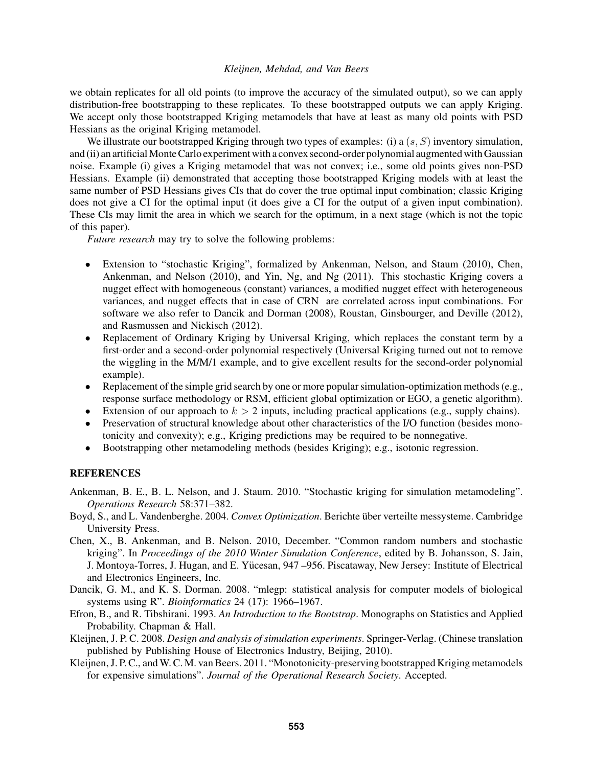we obtain replicates for all old points (to improve the accuracy of the simulated output), so we can apply distribution-free bootstrapping to these replicates. To these bootstrapped outputs we can apply Kriging. We accept only those bootstrapped Kriging metamodels that have at least as many old points with PSD Hessians as the original Kriging metamodel.

We illustrate our bootstrapped Kriging through two types of examples: (i) a  $(s, S)$  inventory simulation, and (ii) an artificial Monte Carlo experiment with a convex second-order polynomial augmented with Gaussian noise. Example (i) gives a Kriging metamodel that was not convex; i.e., some old points gives non-PSD Hessians. Example (ii) demonstrated that accepting those bootstrapped Kriging models with at least the same number of PSD Hessians gives CIs that do cover the true optimal input combination; classic Kriging does not give a CI for the optimal input (it does give a CI for the output of a given input combination). These CIs may limit the area in which we search for the optimum, in a next stage (which is not the topic of this paper).

*Future research* may try to solve the following problems:

- Extension to "stochastic Kriging", formalized by Ankenman, Nelson, and Staum (2010), Chen, Ankenman, and Nelson (2010), and Yin, Ng, and Ng (2011). This stochastic Kriging covers a nugget effect with homogeneous (constant) variances, a modified nugget effect with heterogeneous variances, and nugget effects that in case of CRN are correlated across input combinations. For software we also refer to Dancik and Dorman (2008), Roustan, Ginsbourger, and Deville (2012), and Rasmussen and Nickisch (2012).
- Replacement of Ordinary Kriging by Universal Kriging, which replaces the constant term by a first-order and a second-order polynomial respectively (Universal Kriging turned out not to remove the wiggling in the M/M/1 example, and to give excellent results for the second-order polynomial example).
- Replacement of the simple grid search by one or more popular simulation-optimization methods (e.g., response surface methodology or RSM, efficient global optimization or EGO, a genetic algorithm).
- Extension of our approach to  $k > 2$  inputs, including practical applications (e.g., supply chains).
- Preservation of structural knowledge about other characteristics of the I/O function (besides monotonicity and convexity); e.g., Kriging predictions may be required to be nonnegative.
- Bootstrapping other metamodeling methods (besides Kriging); e.g., isotonic regression.

# **REFERENCES**

- Ankenman, B. E., B. L. Nelson, and J. Staum. 2010. "Stochastic kriging for simulation metamodeling". *Operations Research* 58:371–382.
- Boyd, S., and L. Vandenberghe. 2004. *Convex Optimization*. Berichte uber verteilte messysteme. Cambridge ¨ University Press.
- Chen, X., B. Ankenman, and B. Nelson. 2010, December. "Common random numbers and stochastic kriging". In *Proceedings of the 2010 Winter Simulation Conference*, edited by B. Johansson, S. Jain, J. Montoya-Torres, J. Hugan, and E. Yucesan, 947 –956. Piscataway, New Jersey: Institute of Electrical ¨ and Electronics Engineers, Inc.
- Dancik, G. M., and K. S. Dorman. 2008. "mlegp: statistical analysis for computer models of biological systems using R". *Bioinformatics* 24 (17): 1966–1967.
- Efron, B., and R. Tibshirani. 1993. *An Introduction to the Bootstrap*. Monographs on Statistics and Applied Probability. Chapman & Hall.
- Kleijnen, J. P. C. 2008. *Design and analysis of simulation experiments*. Springer-Verlag. (Chinese translation published by Publishing House of Electronics Industry, Beijing, 2010).
- Kleijnen, J. P. C., and W. C. M. van Beers. 2011. "Monotonicity-preserving bootstrapped Kriging metamodels for expensive simulations". *Journal of the Operational Research Society*. Accepted.